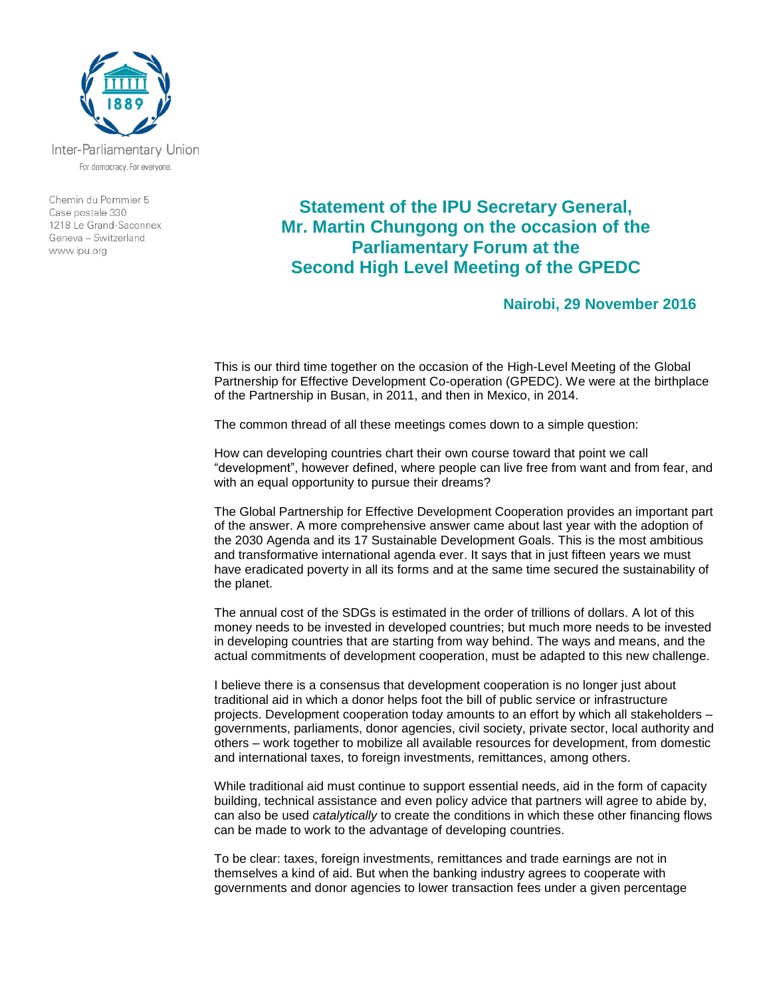

Inter-Parliamentary Union For democracy. For everyone.

Chemin du Pommier 5 Case postale 330 1218 Le Grand-Saconnex Geneva - Switzerland www.ipu.org

## **Statement of the IPU Secretary General, Mr. Martin Chungong on the occasion of the Parliamentary Forum at the Second High Level Meeting of the GPEDC**

## **Nairobi, 29 November 2016**

This is our third time together on the occasion of the High-Level Meeting of the Global Partnership for Effective Development Co-operation (GPEDC). We were at the birthplace of the Partnership in Busan, in 2011, and then in Mexico, in 2014.

The common thread of all these meetings comes down to a simple question:

How can developing countries chart their own course toward that point we call "development", however defined, where people can live free from want and from fear, and with an equal opportunity to pursue their dreams?

The Global Partnership for Effective Development Cooperation provides an important part of the answer. A more comprehensive answer came about last year with the adoption of the 2030 Agenda and its 17 Sustainable Development Goals. This is the most ambitious and transformative international agenda ever. It says that in just fifteen years we must have eradicated poverty in all its forms and at the same time secured the sustainability of the planet.

The annual cost of the SDGs is estimated in the order of trillions of dollars. A lot of this money needs to be invested in developed countries; but much more needs to be invested in developing countries that are starting from way behind. The ways and means, and the actual commitments of development cooperation, must be adapted to this new challenge.

I believe there is a consensus that development cooperation is no longer just about traditional aid in which a donor helps foot the bill of public service or infrastructure projects. Development cooperation today amounts to an effort by which all stakeholders – governments, parliaments, donor agencies, civil society, private sector, local authority and others – work together to mobilize all available resources for development, from domestic and international taxes, to foreign investments, remittances, among others.

While traditional aid must continue to support essential needs, aid in the form of capacity building, technical assistance and even policy advice that partners will agree to abide by, can also be used *catalytically* to create the conditions in which these other financing flows can be made to work to the advantage of developing countries.

To be clear: taxes, foreign investments, remittances and trade earnings are not in themselves a kind of aid. But when the banking industry agrees to cooperate with governments and donor agencies to lower transaction fees under a given percentage